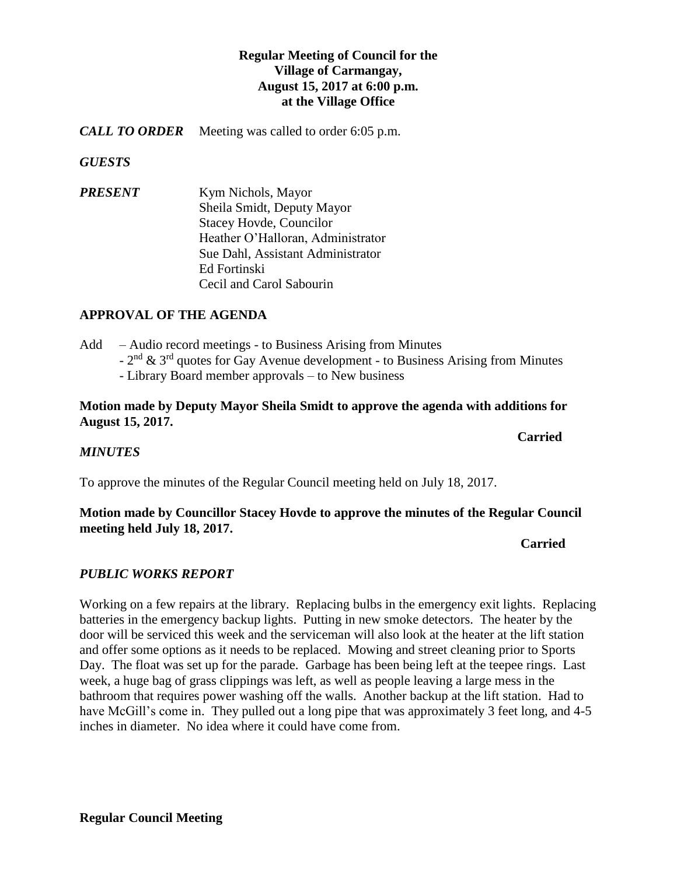# **Regular Meeting of Council for the Village of Carmangay, August 15, 2017 at 6:00 p.m. at the Village Office**

*CALL TO ORDER* Meeting was called to order 6:05 p.m.

*GUESTS*

*PRESENT* Kym Nichols, Mayor Sheila Smidt, Deputy Mayor Stacey Hovde, Councilor Heather O'Halloran, Administrator Sue Dahl, Assistant Administrator Ed Fortinski Cecil and Carol Sabourin

# **APPROVAL OF THE AGENDA**

- Add Audio record meetings to Business Arising from Minutes
	- $-2<sup>nd</sup>$  & 3<sup>rd</sup> quotes for Gay Avenue development to Business Arising from Minutes
	- Library Board member approvals to New business

### **Motion made by Deputy Mayor Sheila Smidt to approve the agenda with additions for August 15, 2017.**

# *MINUTES*

To approve the minutes of the Regular Council meeting held on July 18, 2017.

# **Motion made by Councillor Stacey Hovde to approve the minutes of the Regular Council meeting held July 18, 2017.**

### *Carried*

# *PUBLIC WORKS REPORT*

Working on a few repairs at the library. Replacing bulbs in the emergency exit lights. Replacing batteries in the emergency backup lights. Putting in new smoke detectors. The heater by the door will be serviced this week and the serviceman will also look at the heater at the lift station and offer some options as it needs to be replaced. Mowing and street cleaning prior to Sports Day. The float was set up for the parade. Garbage has been being left at the teepee rings. Last week, a huge bag of grass clippings was left, as well as people leaving a large mess in the bathroom that requires power washing off the walls. Another backup at the lift station. Had to have McGill's come in. They pulled out a long pipe that was approximately 3 feet long, and 4-5 inches in diameter. No idea where it could have come from.

**Carried**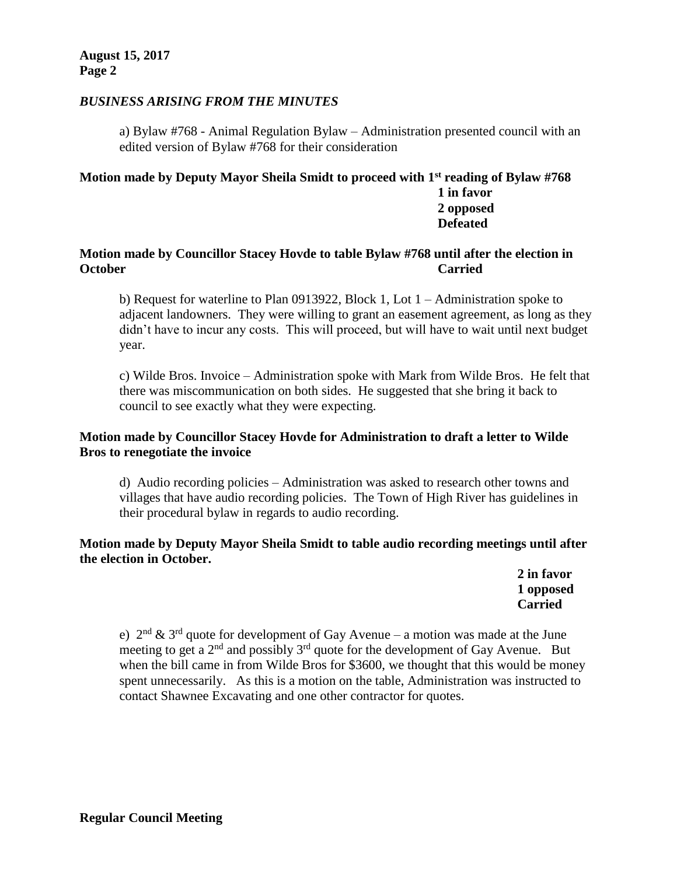**August 15, 2017 Page 2**

### *BUSINESS ARISING FROM THE MINUTES*

a) Bylaw #768 - Animal Regulation Bylaw – Administration presented council with an edited version of Bylaw #768 for their consideration

### **Motion made by Deputy Mayor Sheila Smidt to proceed with 1st reading of Bylaw #768 1 in favor 2 opposed Defeated**

### **Motion made by Councillor Stacey Hovde to table Bylaw #768 until after the election in October Carried**

b) Request for waterline to Plan 0913922, Block 1, Lot  $1 -$ Administration spoke to adjacent landowners. They were willing to grant an easement agreement, as long as they didn't have to incur any costs. This will proceed, but will have to wait until next budget year.

c) Wilde Bros. Invoice – Administration spoke with Mark from Wilde Bros. He felt that there was miscommunication on both sides. He suggested that she bring it back to council to see exactly what they were expecting.

# **Motion made by Councillor Stacey Hovde for Administration to draft a letter to Wilde Bros to renegotiate the invoice**

d) Audio recording policies – Administration was asked to research other towns and villages that have audio recording policies. The Town of High River has guidelines in their procedural bylaw in regards to audio recording.

### **Motion made by Deputy Mayor Sheila Smidt to table audio recording meetings until after the election in October.**

**2 in favor 1 opposed Carried**

e)  $2<sup>nd</sup>$  &  $3<sup>rd</sup>$  quote for development of Gay Avenue – a motion was made at the June meeting to get a  $2<sup>nd</sup>$  and possibly  $3<sup>rd</sup>$  quote for the development of Gay Avenue. But when the bill came in from Wilde Bros for \$3600, we thought that this would be money spent unnecessarily. As this is a motion on the table, Administration was instructed to contact Shawnee Excavating and one other contractor for quotes.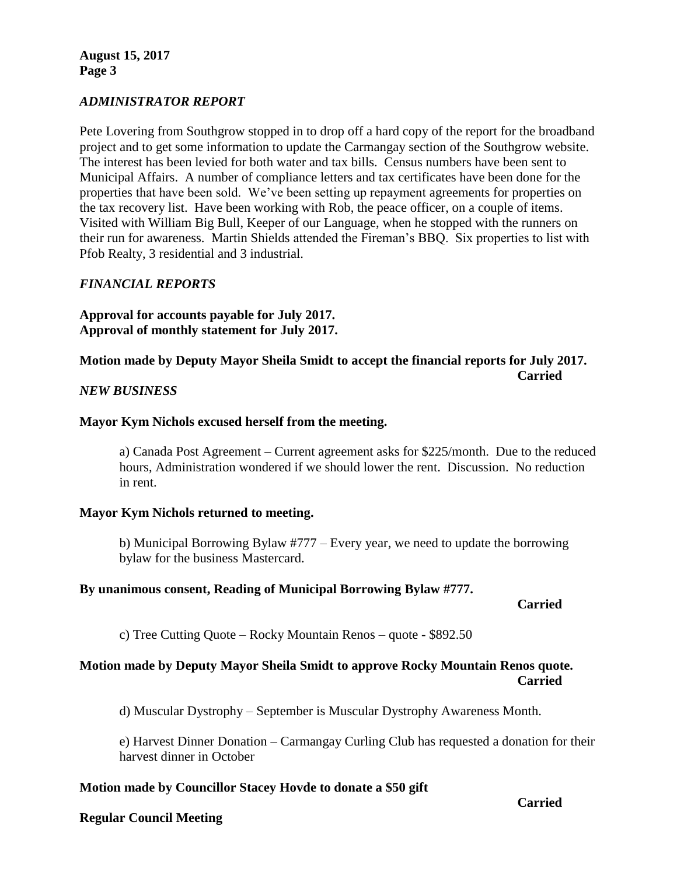**August 15, 2017 Page 3**

### *ADMINISTRATOR REPORT*

Pete Lovering from Southgrow stopped in to drop off a hard copy of the report for the broadband project and to get some information to update the Carmangay section of the Southgrow website. The interest has been levied for both water and tax bills. Census numbers have been sent to Municipal Affairs. A number of compliance letters and tax certificates have been done for the properties that have been sold. We've been setting up repayment agreements for properties on the tax recovery list. Have been working with Rob, the peace officer, on a couple of items. Visited with William Big Bull, Keeper of our Language, when he stopped with the runners on their run for awareness. Martin Shields attended the Fireman's BBQ. Six properties to list with Pfob Realty, 3 residential and 3 industrial.

### *FINANCIAL REPORTS*

**Approval for accounts payable for July 2017. Approval of monthly statement for July 2017.**

**Motion made by Deputy Mayor Sheila Smidt to accept the financial reports for July 2017. Carried**

#### *NEW BUSINESS*

### **Mayor Kym Nichols excused herself from the meeting.**

a) Canada Post Agreement – Current agreement asks for \$225/month. Due to the reduced hours, Administration wondered if we should lower the rent. Discussion. No reduction in rent.

#### **Mayor Kym Nichols returned to meeting.**

b) Municipal Borrowing Bylaw #777 – Every year, we need to update the borrowing bylaw for the business Mastercard.

#### **By unanimous consent, Reading of Municipal Borrowing Bylaw #777.**

#### **Carried**

c) Tree Cutting Quote – Rocky Mountain Renos – quote - \$892.50

### **Motion made by Deputy Mayor Sheila Smidt to approve Rocky Mountain Renos quote. Carried**

d) Muscular Dystrophy – September is Muscular Dystrophy Awareness Month.

e) Harvest Dinner Donation – Carmangay Curling Club has requested a donation for their harvest dinner in October

### **Motion made by Councillor Stacey Hovde to donate a \$50 gift**

#### **Regular Council Meeting**

**Carried**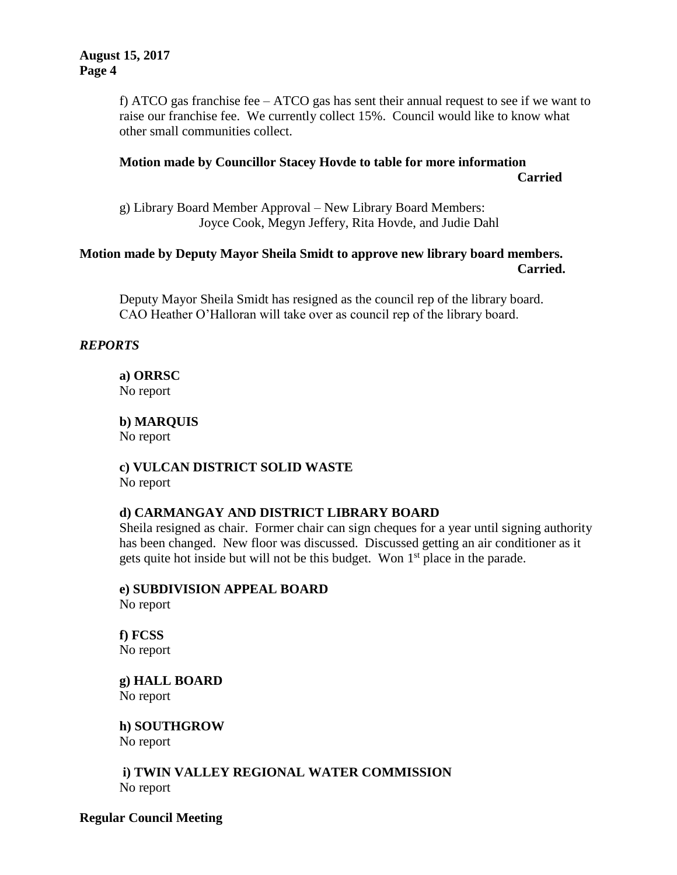f) ATCO gas franchise fee  $-$  ATCO gas has sent their annual request to see if we want to raise our franchise fee. We currently collect 15%. Council would like to know what other small communities collect.

# **Motion made by Councillor Stacey Hovde to table for more information Carried**

g) Library Board Member Approval – New Library Board Members: Joyce Cook, Megyn Jeffery, Rita Hovde, and Judie Dahl

# **Motion made by Deputy Mayor Sheila Smidt to approve new library board members. Carried.**

Deputy Mayor Sheila Smidt has resigned as the council rep of the library board. CAO Heather O'Halloran will take over as council rep of the library board.

# *REPORTS*

**a) ORRSC** No report

**b) MARQUIS**  No report

**c) VULCAN DISTRICT SOLID WASTE**  No report

### **d) CARMANGAY AND DISTRICT LIBRARY BOARD**

Sheila resigned as chair. Former chair can sign cheques for a year until signing authority has been changed. New floor was discussed. Discussed getting an air conditioner as it gets quite hot inside but will not be this budget. Won  $1<sup>st</sup>$  place in the parade.

**e) SUBDIVISION APPEAL BOARD** No report

**f) FCSS**  No report

**g) HALL BOARD** No report

**h) SOUTHGROW** No report

**i) TWIN VALLEY REGIONAL WATER COMMISSION** No report

**Regular Council Meeting**